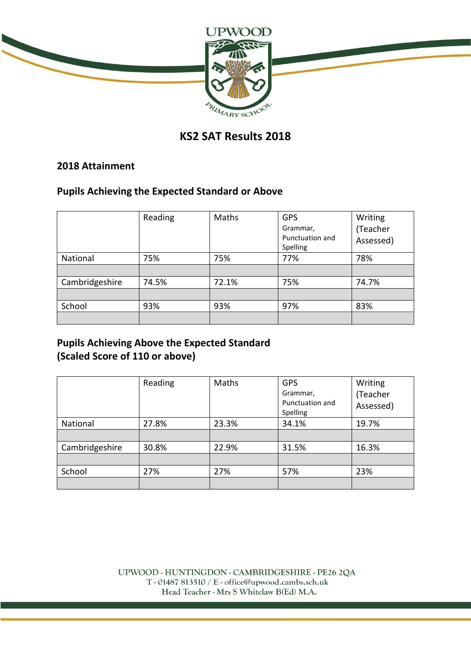

# **KS2 SAT Results 2018**

#### **2018 Attainment**

### **Pupils Achieving the Expected Standard or Above**

|                | Reading | Maths | <b>GPS</b><br>Grammar,<br>Punctuation and<br>Spelling | Writing<br>(Teacher<br>Assessed) |
|----------------|---------|-------|-------------------------------------------------------|----------------------------------|
| National       | 75%     | 75%   | 77%                                                   | 78%                              |
|                |         |       |                                                       |                                  |
| Cambridgeshire | 74.5%   | 72.1% | 75%                                                   | 74.7%                            |
|                |         |       |                                                       |                                  |
| School         | 93%     | 93%   | 97%                                                   | 83%                              |
|                |         |       |                                                       |                                  |

# **Pupils Achieving Above the Expected Standard (Scaled Score of 110 or above)**

|                | Reading | Maths | <b>GPS</b><br>Grammar,<br>Punctuation and<br>Spelling | Writing<br>(Teacher<br>Assessed) |
|----------------|---------|-------|-------------------------------------------------------|----------------------------------|
| National       | 27.8%   | 23.3% | 34.1%                                                 | 19.7%                            |
|                |         |       |                                                       |                                  |
| Cambridgeshire | 30.8%   | 22.9% | 31.5%                                                 | 16.3%                            |
|                |         |       |                                                       |                                  |
| School         | 27%     | 27%   | 57%                                                   | 23%                              |
|                |         |       |                                                       |                                  |

UPWOOD - HUNTINGDON - CAMBRIDGESHIRE - PE26 2QA T - 01487 813510 / E - office@upwood.cambs.sch.uk Head Teacher - Mrs S Whitelaw B(Ed) M.A.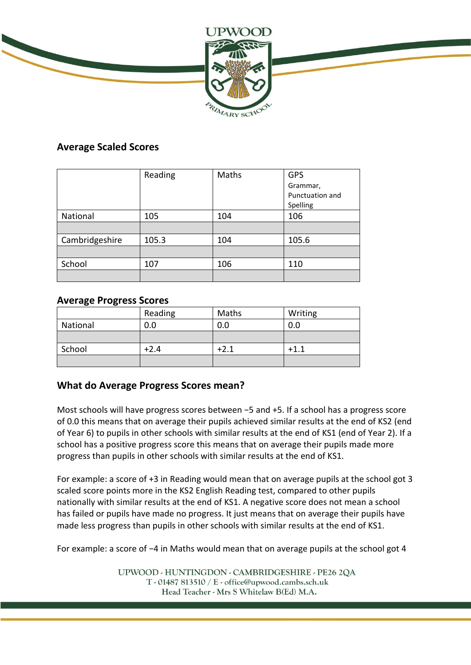

### **Average Scaled Scores**

|                | Reading | Maths | <b>GPS</b>      |
|----------------|---------|-------|-----------------|
|                |         |       | Grammar,        |
|                |         |       | Punctuation and |
|                |         |       | Spelling        |
| National       | 105     | 104   | 106             |
|                |         |       |                 |
| Cambridgeshire | 105.3   | 104   | 105.6           |
|                |         |       |                 |
| School         | 107     | 106   | 110             |
|                |         |       |                 |

### **Average Progress Scores**

|          | Reading | Maths  | Writing |
|----------|---------|--------|---------|
| National | 0.0     | 0.0    | 0.0     |
|          |         |        |         |
| School   | $+2.4$  | $+2.1$ | $+1.1$  |
|          |         |        |         |

## **What do Average Progress Scores mean?**

Most schools will have progress scores between −5 and +5. If a school has a progress score of 0.0 this means that on average their pupils achieved similar results at the end of KS2 (end of Year 6) to pupils in other schools with similar results at the end of KS1 (end of Year 2). If a school has a positive progress score this means that on average their pupils made more progress than pupils in other schools with similar results at the end of KS1.

For example: a score of +3 in Reading would mean that on average pupils at the school got 3 scaled score points more in the KS2 English Reading test, compared to other pupils nationally with similar results at the end of KS1. A negative score does not mean a school has failed or pupils have made no progress. It just means that on average their pupils have made less progress than pupils in other schools with similar results at the end of KS1.

For example: a score of −4 in Maths would mean that on average pupils at the school got 4

UPWOOD - HUNTINGDON - CAMBRIDGESHIRE - PE26 2QA  $T - 01487813510 / E - 0$  office@upwood.cambs.sch.uk Head Teacher - Mrs S Whitelaw B(Ed) M.A.